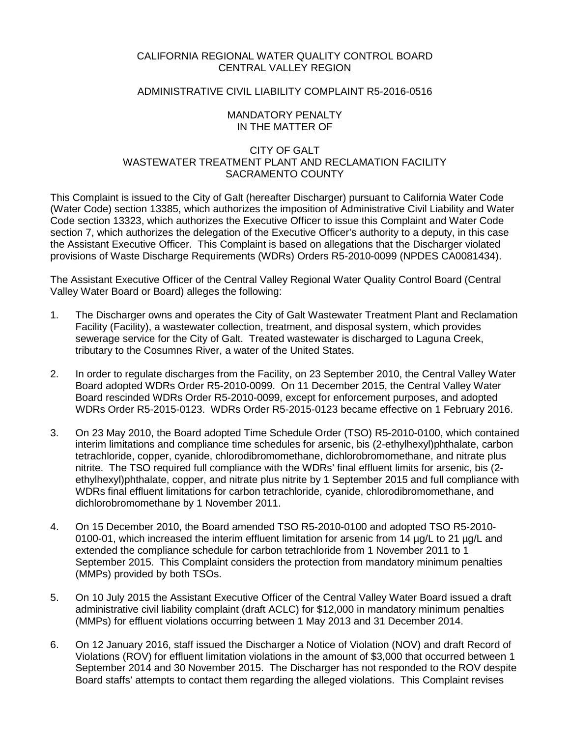## CALIFORNIA REGIONAL WATER QUALITY CONTROL BOARD CENTRAL VALLEY REGION

# ADMINISTRATIVE CIVIL LIABILITY COMPLAINT R5-2016-0516

### MANDATORY PENALTY IN THE MATTER OF

# CITY OF GALT WASTEWATER TREATMENT PLANT AND RECLAMATION FACILITY SACRAMENTO COUNTY

This Complaint is issued to the City of Galt (hereafter Discharger) pursuant to California Water Code (Water Code) section 13385, which authorizes the imposition of Administrative Civil Liability and Water Code section 13323, which authorizes the Executive Officer to issue this Complaint and Water Code section 7, which authorizes the delegation of the Executive Officer's authority to a deputy, in this case the Assistant Executive Officer. This Complaint is based on allegations that the Discharger violated provisions of Waste Discharge Requirements (WDRs) Orders R5-2010-0099 (NPDES CA0081434).

The Assistant Executive Officer of the Central Valley Regional Water Quality Control Board (Central Valley Water Board or Board) alleges the following:

- 1. The Discharger owns and operates the City of Galt Wastewater Treatment Plant and Reclamation Facility (Facility), a wastewater collection, treatment, and disposal system, which provides sewerage service for the City of Galt. Treated wastewater is discharged to Laguna Creek, tributary to the Cosumnes River, a water of the United States.
- 2. In order to regulate discharges from the Facility, on 23 September 2010, the Central Valley Water Board adopted WDRs Order R5-2010-0099. On 11 December 2015, the Central Valley Water Board rescinded WDRs Order R5-2010-0099, except for enforcement purposes, and adopted WDRs Order R5-2015-0123. WDRs Order R5-2015-0123 became effective on 1 February 2016.
- 3. On 23 May 2010, the Board adopted Time Schedule Order (TSO) R5-2010-0100, which contained interim limitations and compliance time schedules for arsenic, bis (2-ethylhexyl)phthalate, carbon tetrachloride, copper, cyanide, chlorodibromomethane, dichlorobromomethane, and nitrate plus nitrite. The TSO required full compliance with the WDRs' final effluent limits for arsenic, bis (2 ethylhexyl)phthalate, copper, and nitrate plus nitrite by 1 September 2015 and full compliance with WDRs final effluent limitations for carbon tetrachloride, cyanide, chlorodibromomethane, and dichlorobromomethane by 1 November 2011.
- 4. On 15 December 2010, the Board amended TSO R5-2010-0100 and adopted TSO R5-2010- 0100-01, which increased the interim effluent limitation for arsenic from 14 µg/L to 21 µg/L and extended the compliance schedule for carbon tetrachloride from 1 November 2011 to 1 September 2015. This Complaint considers the protection from mandatory minimum penalties (MMPs) provided by both TSOs.
- 5. On 10 July 2015 the Assistant Executive Officer of the Central Valley Water Board issued a draft administrative civil liability complaint (draft ACLC) for \$12,000 in mandatory minimum penalties (MMPs) for effluent violations occurring between 1 May 2013 and 31 December 2014.
- 6. On 12 January 2016, staff issued the Discharger a Notice of Violation (NOV) and draft Record of Violations (ROV) for effluent limitation violations in the amount of \$3,000 that occurred between 1 September 2014 and 30 November 2015. The Discharger has not responded to the ROV despite Board staffs' attempts to contact them regarding the alleged violations. This Complaint revises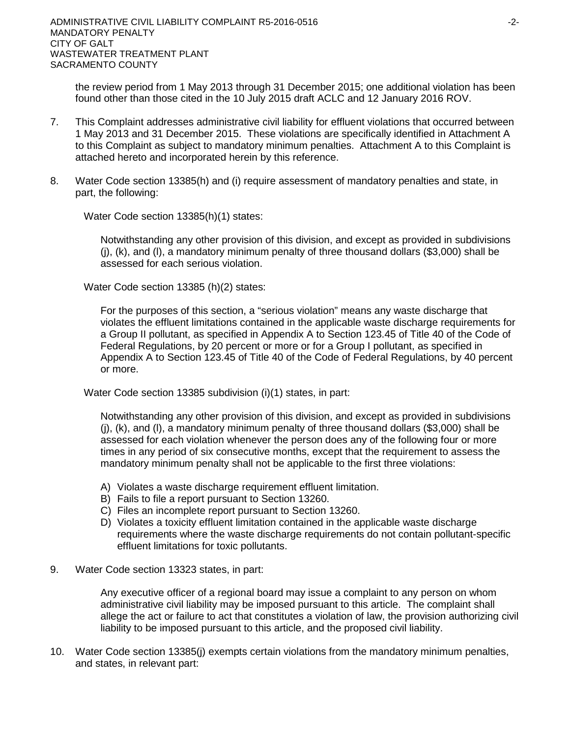the review period from 1 May 2013 through 31 December 2015; one additional violation has been found other than those cited in the 10 July 2015 draft ACLC and 12 January 2016 ROV.

- 7. This Complaint addresses administrative civil liability for effluent violations that occurred between 1 May 2013 and 31 December 2015. These violations are specifically identified in Attachment A to this Complaint as subject to mandatory minimum penalties. Attachment A to this Complaint is attached hereto and incorporated herein by this reference.
- 8. Water Code section 13385(h) and (i) require assessment of mandatory penalties and state, in part, the following:

Water Code section 13385(h)(1) states:

Notwithstanding any other provision of this division, and except as provided in subdivisions  $(i)$ ,  $(k)$ , and  $(l)$ , a mandatory minimum penalty of three thousand dollars (\$3,000) shall be assessed for each serious violation.

Water Code section 13385 (h)(2) states:

For the purposes of this section, a "serious violation" means any waste discharge that violates the effluent limitations contained in the applicable waste discharge requirements for a Group II pollutant, as specified in Appendix A to Section 123.45 of Title 40 of the Code of Federal Regulations, by 20 percent or more or for a Group I pollutant, as specified in Appendix A to Section 123.45 of Title 40 of the Code of Federal Regulations, by 40 percent or more.

Water Code section 13385 subdivision (i)(1) states, in part:

Notwithstanding any other provision of this division, and except as provided in subdivisions  $(i)$ ,  $(k)$ , and  $(l)$ , a mandatory minimum penalty of three thousand dollars (\$3,000) shall be assessed for each violation whenever the person does any of the following four or more times in any period of six consecutive months, except that the requirement to assess the mandatory minimum penalty shall not be applicable to the first three violations:

- A) Violates a waste discharge requirement effluent limitation.
- B) Fails to file a report pursuant to Section 13260.
- C) Files an incomplete report pursuant to Section 13260.
- D) Violates a toxicity effluent limitation contained in the applicable waste discharge requirements where the waste discharge requirements do not contain pollutant-specific effluent limitations for toxic pollutants.
- 9. Water Code section 13323 states, in part:

Any executive officer of a regional board may issue a complaint to any person on whom administrative civil liability may be imposed pursuant to this article. The complaint shall allege the act or failure to act that constitutes a violation of law, the provision authorizing civil liability to be imposed pursuant to this article, and the proposed civil liability.

10. Water Code section 13385(j) exempts certain violations from the mandatory minimum penalties, and states, in relevant part: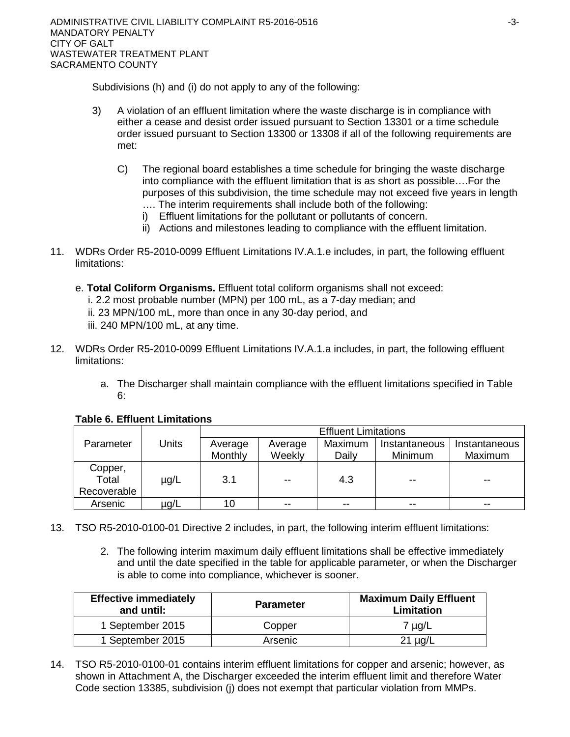Subdivisions (h) and (i) do not apply to any of the following:

- 3) A violation of an effluent limitation where the waste discharge is in compliance with either a cease and desist order issued pursuant to Section 13301 or a time schedule order issued pursuant to Section 13300 or 13308 if all of the following requirements are met:
	- C) The regional board establishes a time schedule for bringing the waste discharge into compliance with the effluent limitation that is as short as possible….For the purposes of this subdivision, the time schedule may not exceed five years in length …. The interim requirements shall include both of the following:
		- i) Effluent limitations for the pollutant or pollutants of concern.
		- ii) Actions and milestones leading to compliance with the effluent limitation.
- 11. WDRs Order R5-2010-0099 Effluent Limitations IV.A.1.e includes, in part, the following effluent limitations:
	- e. **Total Coliform Organisms.** Effluent total coliform organisms shall not exceed: i. 2.2 most probable number (MPN) per 100 mL, as a 7-day median; and ii. 23 MPN/100 mL, more than once in any 30-day period, and iii. 240 MPN/100 mL, at any time.
- 12. WDRs Order R5-2010-0099 Effluent Limitations IV.A.1.a includes, in part, the following effluent limitations:
	- a. The Discharger shall maintain compliance with the effluent limitations specified in Table 6:

|                  |       | <b>Effluent Limitations</b> |         |         |               |               |  |  |
|------------------|-------|-----------------------------|---------|---------|---------------|---------------|--|--|
| Parameter        | Units | Average                     | Average | Maximum | Instantaneous | Instantaneous |  |  |
|                  |       | Monthly                     | Weekly  | Daily   | Minimum       | Maximum       |  |  |
| Copper,<br>Total | µg/L  | 3.1                         | $-$     | 4.3     | $- -$         | $- -$         |  |  |
| Recoverable      |       |                             |         |         |               |               |  |  |
| Arsenic          | µg/L  |                             | --      |         | $- -$         | --            |  |  |

# **Table 6. Effluent Limitations**

- 13. TSO R5-2010-0100-01 Directive 2 includes, in part, the following interim effluent limitations:
	- 2. The following interim maximum daily effluent limitations shall be effective immediately and until the date specified in the table for applicable parameter, or when the Discharger is able to come into compliance, whichever is sooner.

| <b>Effective immediately</b><br>and until: | <b>Parameter</b> | <b>Maximum Daily Effluent</b><br><b>Limitation</b> |  |  |
|--------------------------------------------|------------------|----------------------------------------------------|--|--|
| 1 September 2015                           | Copper           | $7 \mu g/L$                                        |  |  |
| 1 September 2015                           | Arsenic          | $21 \mu g/L$                                       |  |  |

14. TSO R5-2010-0100-01 contains interim effluent limitations for copper and arsenic; however, as shown in Attachment A, the Discharger exceeded the interim effluent limit and therefore Water Code section 13385, subdivision (j) does not exempt that particular violation from MMPs.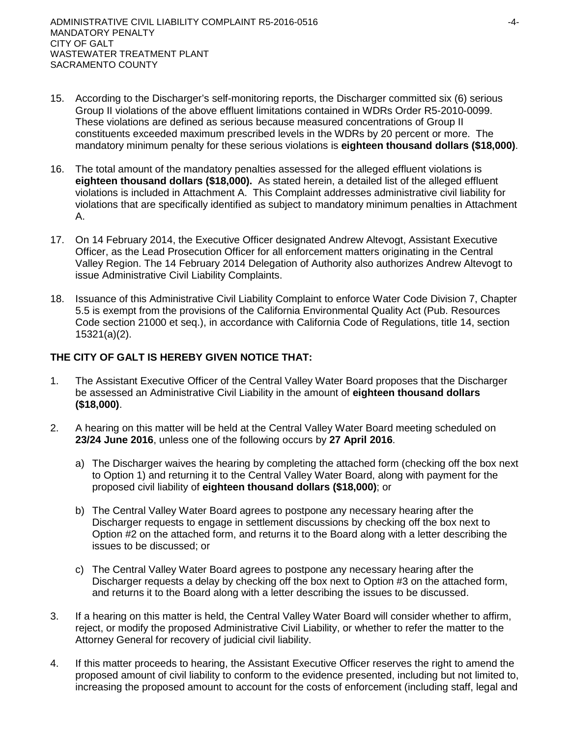- 15. According to the Discharger's self-monitoring reports, the Discharger committed six (6) serious Group II violations of the above effluent limitations contained in WDRs Order R5-2010-0099. These violations are defined as serious because measured concentrations of Group II constituents exceeded maximum prescribed levels in the WDRs by 20 percent or more. The mandatory minimum penalty for these serious violations is **eighteen thousand dollars (\$18,000)**.
- 16. The total amount of the mandatory penalties assessed for the alleged effluent violations is **eighteen thousand dollars (\$18,000).** As stated herein, a detailed list of the alleged effluent violations is included in Attachment A. This Complaint addresses administrative civil liability for violations that are specifically identified as subject to mandatory minimum penalties in Attachment A.
- 17. On 14 February 2014, the Executive Officer designated Andrew Altevogt, Assistant Executive Officer, as the Lead Prosecution Officer for all enforcement matters originating in the Central Valley Region. The 14 February 2014 Delegation of Authority also authorizes Andrew Altevogt to issue Administrative Civil Liability Complaints.
- 18. Issuance of this Administrative Civil Liability Complaint to enforce Water Code Division 7, Chapter 5.5 is exempt from the provisions of the California Environmental Quality Act (Pub. Resources Code section 21000 et seq.), in accordance with California Code of Regulations, title 14, section 15321(a)(2).

# **THE CITY OF GALT IS HEREBY GIVEN NOTICE THAT:**

- 1. The Assistant Executive Officer of the Central Valley Water Board proposes that the Discharger be assessed an Administrative Civil Liability in the amount of **eighteen thousand dollars (\$18,000)**.
- 2. A hearing on this matter will be held at the Central Valley Water Board meeting scheduled on **23/24 June 2016**, unless one of the following occurs by **27 April 2016**.
	- a) The Discharger waives the hearing by completing the attached form (checking off the box next to Option 1) and returning it to the Central Valley Water Board, along with payment for the proposed civil liability of **eighteen thousand dollars (\$18,000)**; or
	- b) The Central Valley Water Board agrees to postpone any necessary hearing after the Discharger requests to engage in settlement discussions by checking off the box next to Option #2 on the attached form, and returns it to the Board along with a letter describing the issues to be discussed; or
	- c) The Central Valley Water Board agrees to postpone any necessary hearing after the Discharger requests a delay by checking off the box next to Option #3 on the attached form, and returns it to the Board along with a letter describing the issues to be discussed.
- 3. If a hearing on this matter is held, the Central Valley Water Board will consider whether to affirm, reject, or modify the proposed Administrative Civil Liability, or whether to refer the matter to the Attorney General for recovery of judicial civil liability.
- 4. If this matter proceeds to hearing, the Assistant Executive Officer reserves the right to amend the proposed amount of civil liability to conform to the evidence presented, including but not limited to, increasing the proposed amount to account for the costs of enforcement (including staff, legal and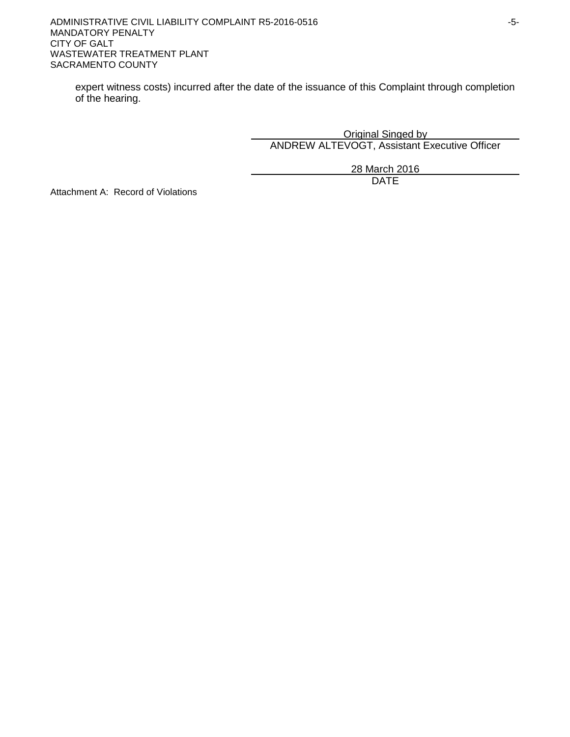expert witness costs) incurred after the date of the issuance of this Complaint through completion of the hearing.

> Original Singed by ANDREW ALTEVOGT, Assistant Executive Officer

> > 28 March 2016 DATE

Attachment A: Record of Violations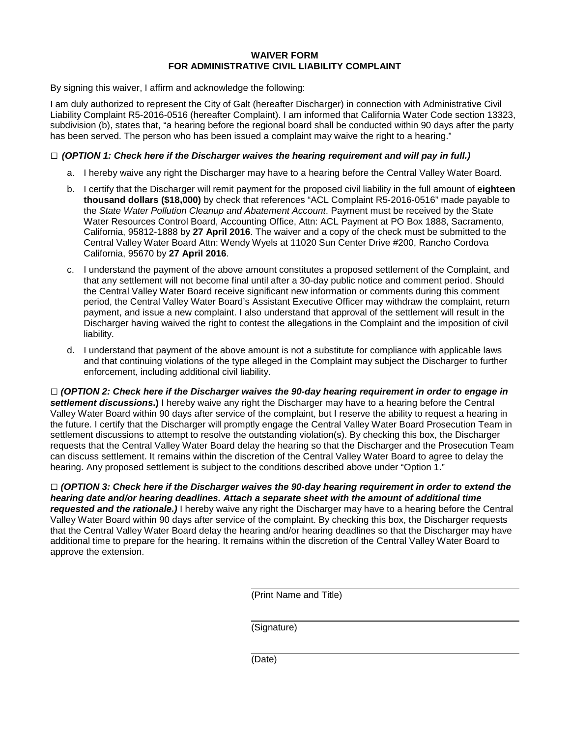#### **WAIVER FORM FOR ADMINISTRATIVE CIVIL LIABILITY COMPLAINT**

By signing this waiver, I affirm and acknowledge the following:

I am duly authorized to represent the City of Galt (hereafter Discharger) in connection with Administrative Civil Liability Complaint R5-2016-0516 (hereafter Complaint). I am informed that California Water Code section 13323, subdivision (b), states that, "a hearing before the regional board shall be conducted within 90 days after the party has been served. The person who has been issued a complaint may waive the right to a hearing."

### **□** *(OPTION 1: Check here if the Discharger waives the hearing requirement and will pay in full.)*

- a. I hereby waive any right the Discharger may have to a hearing before the Central Valley Water Board.
- b. I certify that the Discharger will remit payment for the proposed civil liability in the full amount of **eighteen thousand dollars (\$18,000)** by check that references "ACL Complaint R5-2016-0516" made payable to the *State Water Pollution Cleanup and Abatement Account*. Payment must be received by the State Water Resources Control Board, Accounting Office, Attn: ACL Payment at PO Box 1888, Sacramento, California, 95812-1888 by **27 April 2016**. The waiver and a copy of the check must be submitted to the Central Valley Water Board Attn: Wendy Wyels at 11020 Sun Center Drive #200, Rancho Cordova California, 95670 by **27 April 2016**.
- c. I understand the payment of the above amount constitutes a proposed settlement of the Complaint, and that any settlement will not become final until after a 30-day public notice and comment period. Should the Central Valley Water Board receive significant new information or comments during this comment period, the Central Valley Water Board's Assistant Executive Officer may withdraw the complaint, return payment, and issue a new complaint. I also understand that approval of the settlement will result in the Discharger having waived the right to contest the allegations in the Complaint and the imposition of civil liability.
- d. I understand that payment of the above amount is not a substitute for compliance with applicable laws and that continuing violations of the type alleged in the Complaint may subject the Discharger to further enforcement, including additional civil liability.

**□** *(OPTION 2: Check here if the Discharger waives the 90-day hearing requirement in order to engage in settlement discussions***.)** I hereby waive any right the Discharger may have to a hearing before the Central Valley Water Board within 90 days after service of the complaint, but I reserve the ability to request a hearing in the future. I certify that the Discharger will promptly engage the Central Valley Water Board Prosecution Team in settlement discussions to attempt to resolve the outstanding violation(s). By checking this box, the Discharger requests that the Central Valley Water Board delay the hearing so that the Discharger and the Prosecution Team can discuss settlement. It remains within the discretion of the Central Valley Water Board to agree to delay the hearing. Any proposed settlement is subject to the conditions described above under "Option 1."

**□** *(OPTION 3: Check here if the Discharger waives the 90-day hearing requirement in order to extend the hearing date and/or hearing deadlines. Attach a separate sheet with the amount of additional time requested and the rationale.)* I hereby waive any right the Discharger may have to a hearing before the Central Valley Water Board within 90 days after service of the complaint. By checking this box, the Discharger requests that the Central Valley Water Board delay the hearing and/or hearing deadlines so that the Discharger may have additional time to prepare for the hearing. It remains within the discretion of the Central Valley Water Board to approve the extension.

(Print Name and Title)

(Signature)

(Date)